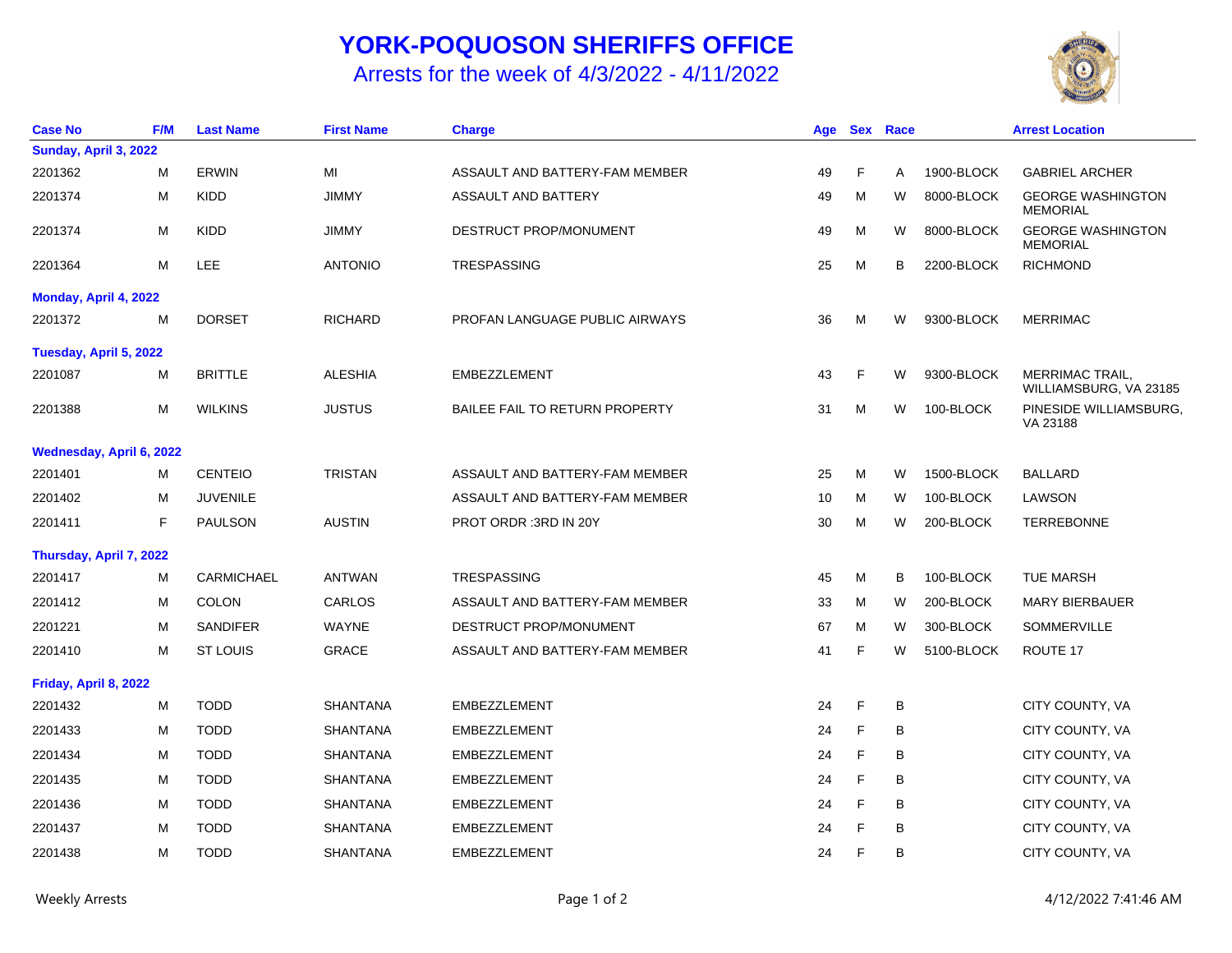## **YORK-POQUOSON SHERIFFS OFFICE**

Arrests for the week of 4/3/2022 - 4/11/2022



| <b>Case No</b>           | F/M | <b>Last Name</b>  | <b>First Name</b> | <b>Charge</b>                         | Age |   | Sex Race |            | <b>Arrest Location</b>                           |
|--------------------------|-----|-------------------|-------------------|---------------------------------------|-----|---|----------|------------|--------------------------------------------------|
| Sunday, April 3, 2022    |     |                   |                   |                                       |     |   |          |            |                                                  |
| 2201362                  | M   | <b>ERWIN</b>      | MI                | ASSAULT AND BATTERY-FAM MEMBER        | 49  | F | Α        | 1900-BLOCK | <b>GABRIEL ARCHER</b>                            |
| 2201374                  | M   | <b>KIDD</b>       | <b>JIMMY</b>      | ASSAULT AND BATTERY                   | 49  | M | W        | 8000-BLOCK | <b>GEORGE WASHINGTON</b><br><b>MEMORIAL</b>      |
| 2201374                  | M   | <b>KIDD</b>       | <b>JIMMY</b>      | DESTRUCT PROP/MONUMENT                | 49  | M | W        | 8000-BLOCK | <b>GEORGE WASHINGTON</b><br><b>MEMORIAL</b>      |
| 2201364                  | M   | <b>LEE</b>        | <b>ANTONIO</b>    | TRESPASSING                           | 25  | M | B        | 2200-BLOCK | <b>RICHMOND</b>                                  |
| Monday, April 4, 2022    |     |                   |                   |                                       |     |   |          |            |                                                  |
| 2201372                  | M   | <b>DORSET</b>     | <b>RICHARD</b>    | PROFAN LANGUAGE PUBLIC AIRWAYS        | 36  | м | W        | 9300-BLOCK | <b>MERRIMAC</b>                                  |
| Tuesday, April 5, 2022   |     |                   |                   |                                       |     |   |          |            |                                                  |
| 2201087                  | M   | <b>BRITTLE</b>    | <b>ALESHIA</b>    | <b>EMBEZZLEMENT</b>                   | 43  | F | W        | 9300-BLOCK | <b>MERRIMAC TRAIL,</b><br>WILLIAMSBURG, VA 23185 |
| 2201388                  | M   | <b>WILKINS</b>    | <b>JUSTUS</b>     | <b>BAILEE FAIL TO RETURN PROPERTY</b> | 31  | м | W        | 100-BLOCK  | PINESIDE WILLIAMSBURG,<br>VA 23188               |
| Wednesday, April 6, 2022 |     |                   |                   |                                       |     |   |          |            |                                                  |
| 2201401                  | м   | <b>CENTEIO</b>    | <b>TRISTAN</b>    | ASSAULT AND BATTERY-FAM MEMBER        | 25  | M | W        | 1500-BLOCK | <b>BALLARD</b>                                   |
| 2201402                  | м   | <b>JUVENILE</b>   |                   | ASSAULT AND BATTERY-FAM MEMBER        | 10  | M | W        | 100-BLOCK  | LAWSON                                           |
| 2201411                  | F   | <b>PAULSON</b>    | <b>AUSTIN</b>     | PROT ORDR: 3RD IN 20Y                 | 30  | M | W        | 200-BLOCK  | <b>TERREBONNE</b>                                |
| Thursday, April 7, 2022  |     |                   |                   |                                       |     |   |          |            |                                                  |
| 2201417                  | м   | <b>CARMICHAEL</b> | <b>ANTWAN</b>     | <b>TRESPASSING</b>                    | 45  | M | B        | 100-BLOCK  | <b>TUE MARSH</b>                                 |
| 2201412                  | M   | <b>COLON</b>      | CARLOS            | ASSAULT AND BATTERY-FAM MEMBER        | 33  | м | W        | 200-BLOCK  | <b>MARY BIERBAUER</b>                            |
| 2201221                  | M   | <b>SANDIFER</b>   | <b>WAYNE</b>      | DESTRUCT PROP/MONUMENT                | 67  | M | W        | 300-BLOCK  | SOMMERVILLE                                      |
| 2201410                  | M   | <b>ST LOUIS</b>   | <b>GRACE</b>      | ASSAULT AND BATTERY-FAM MEMBER        | 41  | F | W        | 5100-BLOCK | ROUTE 17                                         |
| Friday, April 8, 2022    |     |                   |                   |                                       |     |   |          |            |                                                  |
| 2201432                  | M   | <b>TODD</b>       | <b>SHANTANA</b>   | <b>EMBEZZLEMENT</b>                   | 24  | F | B        |            | CITY COUNTY, VA                                  |
| 2201433                  | M   | <b>TODD</b>       | <b>SHANTANA</b>   | EMBEZZLEMENT                          | 24  | F | B        |            | CITY COUNTY, VA                                  |
| 2201434                  | M   | <b>TODD</b>       | <b>SHANTANA</b>   | EMBEZZLEMENT                          | 24  | F | B        |            | CITY COUNTY, VA                                  |
| 2201435                  | M   | <b>TODD</b>       | <b>SHANTANA</b>   | <b>EMBEZZLEMENT</b>                   | 24  | F | B        |            | CITY COUNTY, VA                                  |
| 2201436                  | м   | <b>TODD</b>       | <b>SHANTANA</b>   | EMBEZZLEMENT                          | 24  | F | B        |            | CITY COUNTY, VA                                  |
| 2201437                  | M   | <b>TODD</b>       | <b>SHANTANA</b>   | <b>EMBEZZLEMENT</b>                   | 24  | F | B        |            | CITY COUNTY, VA                                  |
| 2201438                  | M   | <b>TODD</b>       | <b>SHANTANA</b>   | <b>EMBEZZLEMENT</b>                   | 24  | F | B        |            | CITY COUNTY, VA                                  |